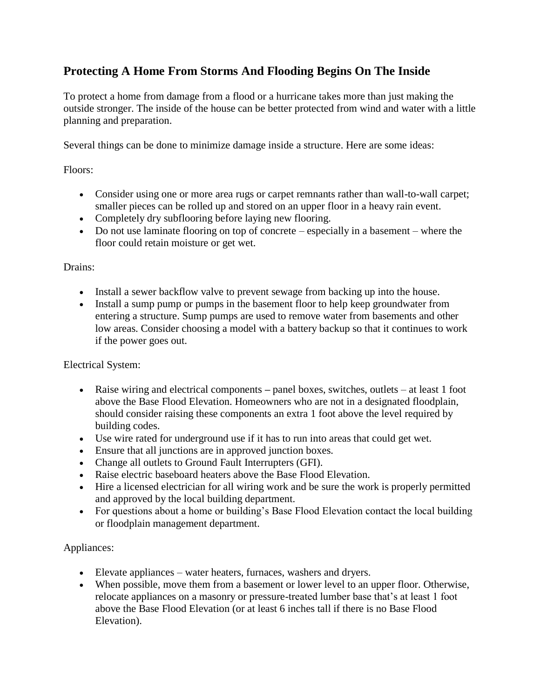## **Protecting A Home From Storms And Flooding Begins On The Inside**

To protect a home from damage from a flood or a hurricane takes more than just making the outside stronger. The inside of the house can be better protected from wind and water with a little planning and preparation.

Several things can be done to minimize damage inside a structure. Here are some ideas:

Floors:

- Consider using one or more area rugs or carpet remnants rather than wall-to-wall carpet; smaller pieces can be rolled up and stored on an upper floor in a heavy rain event.
- Completely dry subflooring before laying new flooring.
- Do not use laminate flooring on top of concrete especially in a basement where the floor could retain moisture or get wet.

## Drains:

- Install a sewer backflow valve to prevent sewage from backing up into the house.
- Install a sump pump or pumps in the basement floor to help keep groundwater from entering a structure. Sump pumps are used to remove water from basements and other low areas. Consider choosing a model with a battery backup so that it continues to work if the power goes out.

Electrical System:

- Raise wiring and electrical components panel boxes, switches, outlets at least 1 foot above the Base Flood Elevation. Homeowners who are not in a designated floodplain, should consider raising these components an extra 1 foot above the level required by building codes.
- Use wire rated for underground use if it has to run into areas that could get wet.
- Ensure that all junctions are in approved junction boxes.
- Change all outlets to Ground Fault Interrupters (GFI).
- Raise electric baseboard heaters above the Base Flood Elevation.
- Hire a licensed electrician for all wiring work and be sure the work is properly permitted and approved by the local building department.
- For questions about a home or building's Base Flood Elevation contact the local building or floodplain management department.

## Appliances:

- Elevate appliances water heaters, furnaces, washers and dryers.
- When possible, move them from a basement or lower level to an upper floor. Otherwise, relocate appliances on a masonry or pressure-treated lumber base that's at least 1 foot above the Base Flood Elevation (or at least 6 inches tall if there is no Base Flood Elevation).